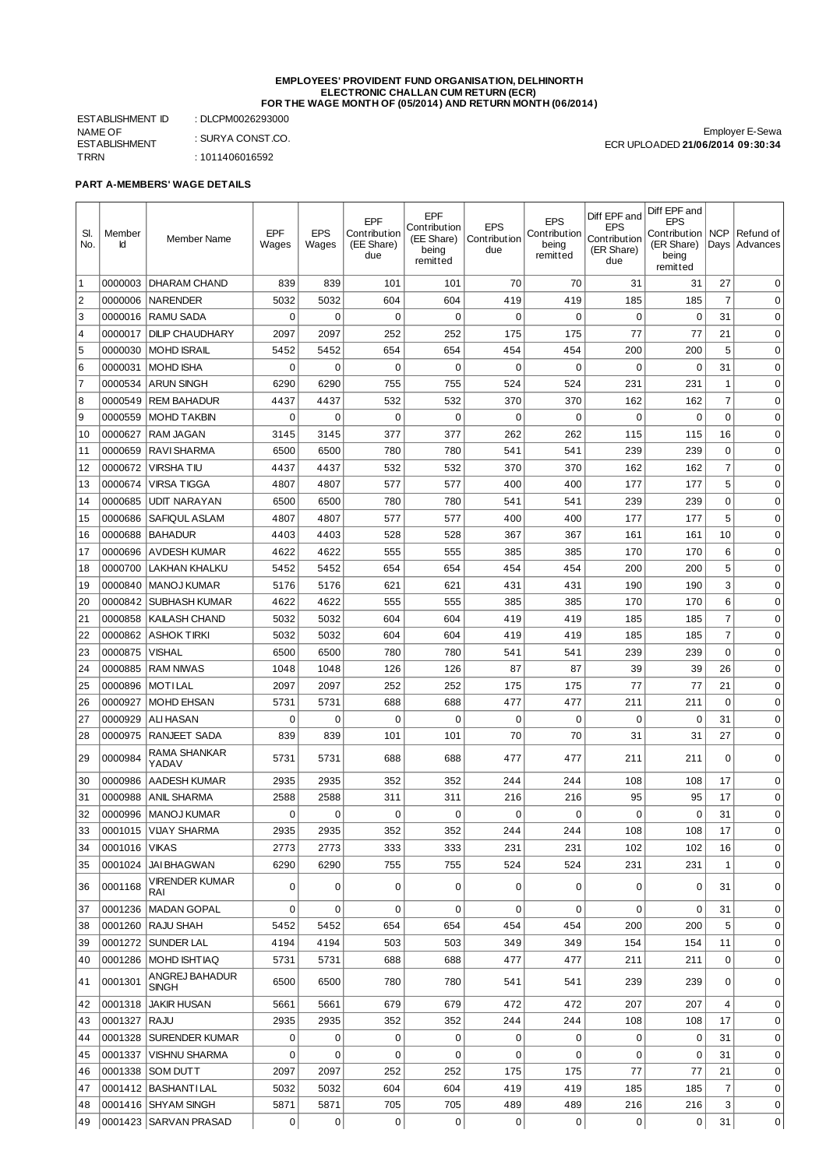#### **EMPLOYEES' PROVIDENT FUND ORGANISATION, DELHINORTH ELECTRONIC CHALLAN CUM RETURN (ECR) FOR THE WAGE MONTH OF (05/2014) AND RETURN MONTH (06/2014)**

ESTABLISHMENT ID : DLCPM0026293000 NAME OF ESTABLISHMENT : SURYA CONST.CO. TRRN : 1011406016592

Employer E-Sewa ECR UPLOADED **21/06/2014 09:30:34**

#### **PART A-MEMBERS' WAGE DETAILS**

|                |         |                                |                |             |                     | EPF                 |                     |                            | Diff EPF and               | Diff EPF and                     |                |                 |
|----------------|---------|--------------------------------|----------------|-------------|---------------------|---------------------|---------------------|----------------------------|----------------------------|----------------------------------|----------------|-----------------|
| SI.            | Member  |                                | <b>EPF</b>     | <b>EPS</b>  | EPF<br>Contribution | Contribution        | <b>EPS</b>          | <b>EPS</b><br>Contribution | <b>EPS</b>                 | <b>EPS</b><br>Contribution   NCP |                | Refund of       |
| No.            | Ιd      | <b>Member Name</b>             | Wages          | Wages       | (EE Share)          | (EE Share)<br>being | Contribution<br>due | being                      | Contribution<br>(ER Share) | (ER Share)                       |                | Days   Advances |
|                |         |                                |                |             | due                 | remitted            |                     | remitted                   | due                        | being<br>remitted                |                |                 |
| 1              |         | 0000003   DHARAM CHAND         | 839            | 839         | 101                 | 101                 | 70                  | 70                         | 31                         | 31                               | 27             | $\Omega$        |
| 2              | 0000006 | <b>NARENDER</b>                | 5032           | 5032        | 604                 | 604                 | 419                 | 419                        | 185                        | 185                              | $\overline{7}$ | $\mathbf 0$     |
| 3              | 0000016 | <b>RAMU SADA</b>               | 0              | $\mathbf 0$ | $\mathbf 0$         | $\mathbf 0$         | 0                   | 0                          | $\mathbf 0$                | $\mathbf 0$                      | 31             | $\mathbf 0$     |
| $\overline{4}$ | 0000017 | <b>DILIP CHAUDHARY</b>         | 2097           | 2097        | 252                 | 252                 | 175                 | 175                        | 77                         | 77                               | 21             | $\mathbf 0$     |
| 5              | 0000030 | <b>MOHD ISRAIL</b>             | 5452           | 5452        | 654                 | 654                 | 454                 | 454                        | 200                        | 200                              | 5              | $\mathbf 0$     |
| 6              | 0000031 | <b>MOHD ISHA</b>               | 0              | $\mathbf 0$ | $\mathbf 0$         | $\mathbf 0$         | $\mathbf 0$         | 0                          | $\mathbf 0$                | $\mathbf 0$                      | 31             | $\mathbf 0$     |
| $\overline{7}$ | 0000534 | <b>ARUN SINGH</b>              | 6290           | 6290        | 755                 | 755                 | 524                 | 524                        | 231                        | 231                              | $1\,$          | $\mathbf 0$     |
| 8              | 0000549 | <b>REM BAHADUR</b>             | 4437           | 4437        | 532                 | 532                 | 370                 | 370                        | 162                        | 162                              | $\overline{7}$ | $\mathbf 0$     |
| 9              | 0000559 | MOHD TAKBIN                    | 0              | 0           | 0                   | 0                   | 0                   | 0                          | 0                          | $\mathbf 0$                      | $\mathbf 0$    | 0               |
| 10             | 0000627 | RAM JAGAN                      | 3145           | 3145        | 377                 | 377                 | 262                 | 262                        | 115                        | 115                              | 16             | 0               |
| 11             | 0000659 | <b>RAVI SHARMA</b>             | 6500           | 6500        | 780                 | 780                 | 541                 | 541                        | 239                        | 239                              | $\mathbf 0$    | 0               |
| 12             | 0000672 | <b>VIRSHATIU</b>               | 4437           | 4437        | 532                 | 532                 | 370                 | 370                        | 162                        | 162                              | $\overline{7}$ | 0               |
| 13             | 0000674 | <b>VIRSA TIGGA</b>             | 4807           | 4807        | 577                 | 577                 | 400                 | 400                        | 177                        | 177                              | 5              | $\mathbf 0$     |
| 14             | 0000685 | <b>UDIT NARAYAN</b>            | 6500           | 6500        | 780                 | 780                 | 541                 | 541                        | 239                        | 239                              | $\mathbf 0$    | $\mathbf 0$     |
|                |         | <b>SAFIOUL ASLAM</b>           |                |             | 577                 | 577                 |                     |                            | 177                        | 177                              | 5              | $\mathbf 0$     |
| 15             | 0000686 |                                | 4807           | 4807        |                     |                     | 400                 | 400                        |                            |                                  |                |                 |
| 16             | 0000688 | <b>BAHADUR</b>                 | 4403           | 4403        | 528                 | 528                 | 367                 | 367                        | 161                        | 161                              | 10             | $\mathbf 0$     |
| 17             | 0000696 | <b>AVDESH KUMAR</b>            | 4622           | 4622        | 555                 | 555                 | 385                 | 385                        | 170                        | 170                              | 6              | $\mathbf 0$     |
| 18             | 0000700 | <b>LAKHAN KHALKU</b>           | 5452           | 5452        | 654                 | 654                 | 454                 | 454                        | 200                        | 200                              | 5              | $\mathbf 0$     |
| 19             | 0000840 | <b>MANOJ KUMAR</b>             | 5176           | 5176        | 621                 | 621                 | 431                 | 431                        | 190                        | 190                              | 3              | $\mathbf 0$     |
| 20             | 0000842 | <b>SUBHASH KUMAR</b>           | 4622           | 4622        | 555                 | 555                 | 385                 | 385                        | 170                        | 170                              | 6              | $\mathbf 0$     |
| 21             | 0000858 | KAILASH CHAND                  | 5032           | 5032        | 604                 | 604                 | 419                 | 419                        | 185                        | 185                              | $\overline{7}$ | $\mathbf 0$     |
| 22             | 0000862 | <b>ASHOK TIRKI</b>             | 5032           | 5032        | 604                 | 604                 | 419                 | 419                        | 185                        | 185                              | $\overline{7}$ | $\mathbf 0$     |
| 23             | 0000875 | <b>VISHAL</b>                  | 6500           | 6500        | 780                 | 780                 | 541                 | 541                        | 239                        | 239                              | $\mathbf 0$    | $\mathbf 0$     |
| 24             | 0000885 | <b>RAM NIWAS</b>               | 1048           | 1048        | 126                 | 126                 | 87                  | 87                         | 39                         | 39                               | 26             | $\mathbf 0$     |
| 25             | 0000896 | <b>MOTILAL</b>                 | 2097           | 2097        | 252                 | 252                 | 175                 | 175                        | 77                         | 77                               | 21             | $\mathbf 0$     |
| 26             | 0000927 | <b>MOHD EHSAN</b>              | 5731           | 5731        | 688                 | 688                 | 477                 | 477                        | 211                        | 211                              | $\mathbf 0$    | $\mathbf 0$     |
| 27             | 0000929 | <b>ALI HASAN</b>               | 0              | $\mathbf 0$ | 0                   | $\mathbf 0$         | 0                   | 0                          | $\mathbf 0$                | 0                                | 31             | 0               |
| 28             | 0000975 | <b>RANJEET SADA</b>            | 839            | 839         | 101                 | 101                 | 70                  | 70                         | 31                         | 31                               | 27             | $\mathbf 0$     |
| 29             | 0000984 | RAMA SHANKAR<br>YADAV          | 5731           | 5731        | 688                 | 688                 | 477                 | 477                        | 211                        | 211                              | $\mathbf 0$    | $\mathbf 0$     |
| 30             | 0000986 | <b>AADESH KUMAR</b>            | 2935           | 2935        | 352                 | 352                 | 244                 | 244                        | 108                        | 108                              | 17             | $\mathbf 0$     |
| 31             | 0000988 | <b>ANIL SHARMA</b>             | 2588           | 2588        | 311                 | 311                 | 216                 | 216                        | 95                         | 95                               | 17             | $\mathbf 0$     |
| 32             | 0000996 | <b>MANOJ KUMAR</b>             | 0              | $\mathbf 0$ | $\mathbf 0$         | 0                   | $\mathbf 0$         | $\mathbf 0$                | $\mathbf 0$                | $\mathbf 0$                      | 31             | $\mathbf 0$     |
| 33             |         | 0001015 VIJAY SHARMA           | 2935           | 2935        | 352                 | 352                 | 244                 | 244                        | 108                        | 108                              | 17             | 0               |
| 34             | 0001016 | <b>VIKAS</b>                   | 2773           | 2773        | 333                 | 333                 | 231                 | 231                        | 102                        | 102                              | 16             | $\mathbf 0$     |
| 35             |         | 0001024 JAI BHAGWAN            | 6290           | 6290        | 755                 | 755                 | 524                 | 524                        | 231                        | 231                              | $1\,$          | 0               |
| 36             | 0001168 | <b>VIRENDER KUMAR</b><br>RAI   | 0              | 0           | 0                   | 0                   | 0                   | 0                          | 0                          | 0                                | 31             | 0               |
| 37             |         | 0001236   MADAN GOPAL          | 0              | 0           | 0                   | 0                   | 0                   | 0                          | 0                          | $\mathbf 0$                      | 31             | $\mathbf 0$     |
| 38             |         | 0001260 RAJU SHAH              | 5452           | 5452        | 654                 | 654                 | 454                 | 454                        | 200                        | 200                              | 5              | $\mathbf 0$     |
| 39             |         | 0001272   SUNDER LAL           | 4194           | 4194        | 503                 | 503                 | 349                 | 349                        | 154                        | 154                              | 11             | $\mathbf 0$     |
| 40             |         | 0001286   MOHD ISHTIAQ         | 5731           | 5731        | 688                 | 688                 | 477                 | 477                        | 211                        | 211                              | $\mathbf 0$    | 0               |
| 41             | 0001301 | ANGREJ BAHADUR<br><b>SINGH</b> | 6500           | 6500        | 780                 | 780                 | 541                 | 541                        | 239                        | 239                              | 0              | 0               |
| 42             |         | 0001318 JAKIR HUSAN            | 5661           | 5661        | 679                 | 679                 | 472                 | 472                        | 207                        | 207                              | 4              | 0               |
| 43             | 0001327 | RAJU                           | 2935           | 2935        | 352                 | 352                 | 244                 | 244                        | 108                        | 108                              | 17             | 0               |
| 44             |         | 0001328   SURENDER KUMAR       | 0              | 0           | $\mathbf 0$         | 0                   | 0                   | 0                          | 0                          | 0                                | 31             | 0               |
| 45             | 0001337 | <b>VISHNU SHARMA</b>           | 0              | 0           | $\mathbf 0$         | 0                   | $\mathbf 0$         | 0                          | 0                          | $\mathbf 0$                      | 31             | 0               |
| 46             |         | 0001338 SOM DUTT               | 2097           | 2097        | 252                 | 252                 | 175                 | 175                        | 77                         | 77                               | 21             | $\pmb{0}$       |
| 47             |         | 0001412   BASHANTI LAL         | 5032           | 5032        | 604                 | 604                 | 419                 | 419                        | 185                        | 185                              | $\overline{7}$ | $\pmb{0}$       |
| 48             |         | 0001416 SHYAM SINGH            | 5871           | 5871        | 705                 | 705                 | 489                 | 489                        | 216                        | 216                              | 3              | $\pmb{0}$       |
| 49             |         | 0001423 SARVAN PRASAD          | $\overline{0}$ | 0           | $\mathbf{0}$        | $\overline{0}$      | 0                   | 0                          | $\sigma$                   | 0                                | 31             | 0               |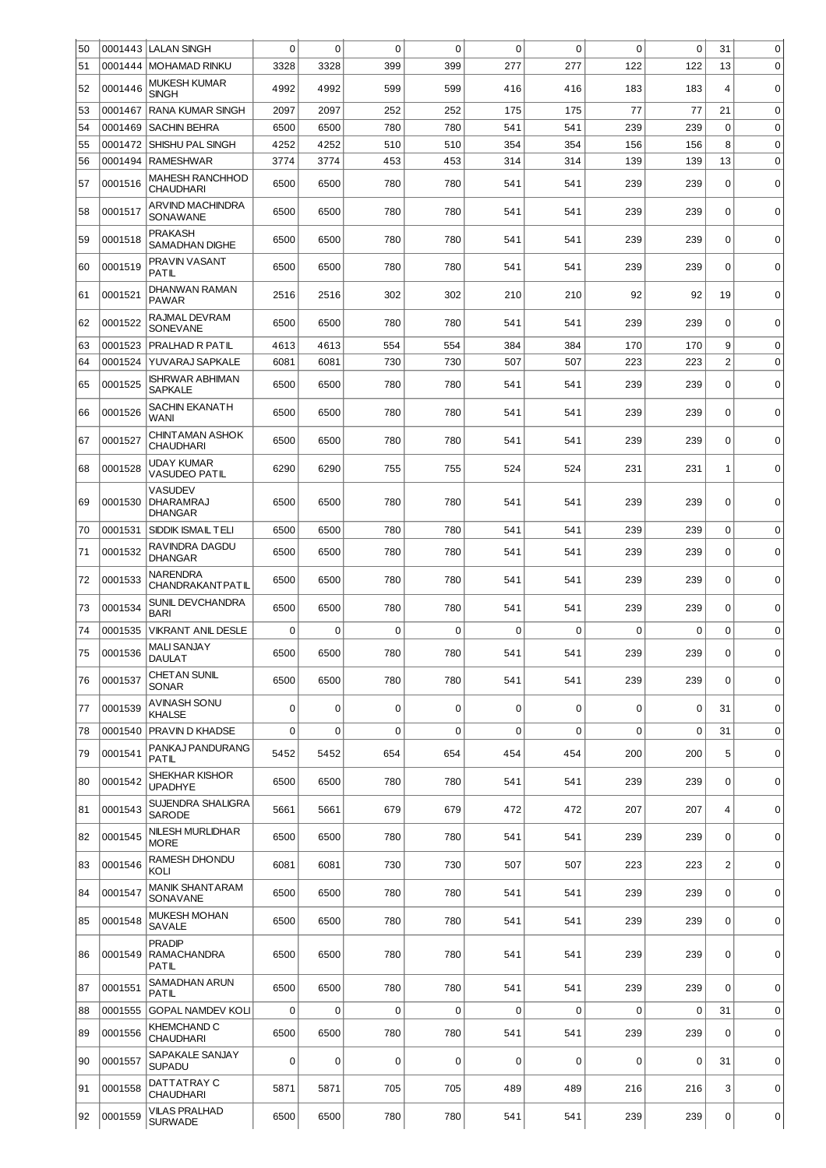| 50 | 0001443 | <b>LALAN SINGH</b>                                   | 0        | $\mathbf 0$ | $\mathbf 0$ | 0           | $\mathbf 0$ | $\mathbf 0$ | $\mathbf 0$ | $\mathbf 0$ | 31               | 0           |
|----|---------|------------------------------------------------------|----------|-------------|-------------|-------------|-------------|-------------|-------------|-------------|------------------|-------------|
| 51 | 0001444 | <b>MOHAMAD RINKU</b>                                 | 3328     | 3328        | 399         | 399         | 277         | 277         | 122         | 122         | 13               | $\mathbf 0$ |
| 52 | 0001446 | <b>MUKESH KUMAR</b><br><b>SINGH</b>                  | 4992     | 4992        | 599         | 599         | 416         | 416         | 183         | 183         | $\overline{4}$   | $\mathbf 0$ |
| 53 | 0001467 | <b>RANA KUMAR SINGH</b>                              | 2097     | 2097        | 252         | 252         | 175         | 175         | 77          | 77          | 21               | $\mathbf 0$ |
| 54 | 0001469 | <b>SACHIN BEHRA</b>                                  | 6500     | 6500        | 780         | 780         | 541         | 541         | 239         | 239         | $\mathbf 0$      | $\mathbf 0$ |
| 55 | 0001472 | SHISHU PAL SINGH                                     | 4252     | 4252        | 510         | 510         | 354         | 354         | 156         | 156         | 8                | $\mathbf 0$ |
| 56 | 0001494 | <b>RAMESHWAR</b>                                     | 3774     | 3774        | 453         | 453         | 314         | 314         | 139         | 139         | 13               | $\mathbf 0$ |
| 57 | 0001516 | <b>MAHESH RANCHHOD</b><br><b>CHAUDHARI</b>           | 6500     | 6500        | 780         | 780         | 541         | 541         | 239         | 239         | $\mathbf 0$      | $\mathbf 0$ |
| 58 | 0001517 | <b>ARVIND MACHINDRA</b><br>SONAWANE                  | 6500     | 6500        | 780         | 780         | 541         | 541         | 239         | 239         | $\mathbf 0$      | $\mathbf 0$ |
| 59 | 0001518 | <b>PRAKASH</b><br>SAMADHAN DIGHE                     | 6500     | 6500        | 780         | 780         | 541         | 541         | 239         | 239         | 0                | $\mathbf 0$ |
| 60 | 0001519 | PRAVIN VASANT<br>PATIL                               | 6500     | 6500        | 780         | 780         | 541         | 541         | 239         | 239         | $\mathbf 0$      | $\mathbf 0$ |
| 61 | 0001521 | DHANWAN RAMAN<br><b>PAWAR</b>                        | 2516     | 2516        | 302         | 302         | 210         | 210         | 92          | 92          | 19               | $\mathbf 0$ |
| 62 | 0001522 | RAJMAL DEVRAM<br><b>SONEVANE</b>                     | 6500     | 6500        | 780         | 780         | 541         | 541         | 239         | 239         | $\Omega$         | $\mathbf 0$ |
| 63 | 0001523 | PRALHAD R PATIL                                      | 4613     | 4613        | 554         | 554         | 384         | 384         | 170         | 170         | 9                | $\mathbf 0$ |
| 64 | 0001524 | YUVARAJ SAPKALE                                      | 6081     | 6081        | 730         | 730         | 507         | 507         | 223         | 223         | $\overline{c}$   | $\mathbf 0$ |
| 65 | 0001525 | <b>ISHRWAR ABHIMAN</b><br><b>SAPKALE</b>             | 6500     | 6500        | 780         | 780         | 541         | 541         | 239         | 239         | $\mathbf 0$      | $\mathbf 0$ |
| 66 | 0001526 | SACHIN EKANATH<br>WANI                               | 6500     | 6500        | 780         | 780         | 541         | 541         | 239         | 239         | $\mathbf 0$      | $\mathbf 0$ |
| 67 | 0001527 | <b>CHINT AMAN ASHOK</b><br><b>CHAUDHARI</b>          | 6500     | 6500        | 780         | 780         | 541         | 541         | 239         | 239         | $\mathbf 0$      | $\mathbf 0$ |
| 68 | 0001528 | UDAY KUMAR<br><b>VASUDEO PATIL</b>                   | 6290     | 6290        | 755         | 755         | 524         | 524         | 231         | 231         | 1                | $\mathbf 0$ |
| 69 | 0001530 | <b>VASUDEV</b><br><b>DHARAMRAJ</b><br><b>DHANGAR</b> | 6500     | 6500        | 780         | 780         | 541         | 541         | 239         | 239         | $\mathbf 0$      | $\mathbf 0$ |
| 70 | 0001531 | SIDDIK ISMAIL TELI                                   | 6500     | 6500        | 780         | 780         | 541         | 541         | 239         | 239         | $\pmb{0}$        | $\mathbf 0$ |
| 71 | 0001532 | RAVINDRA DAGDU<br><b>DHANGAR</b>                     | 6500     | 6500        | 780         | 780         | 541         | 541         | 239         | 239         | 0                | $\mathbf 0$ |
| 72 | 0001533 | <b>NARENDRA</b><br><b>CHANDRAKANTPATIL</b>           | 6500     | 6500        | 780         | 780         | 541         | 541         | 239         | 239         | $\mathbf 0$      | $\mathbf 0$ |
| 73 | 0001534 | SUNIL DEVCHANDRA<br><b>BARI</b>                      | 6500     | 6500        | 780         | 780         | 541         | 541         | 239         | 239         | $\mathbf 0$      | $\mathbf 0$ |
| 74 | 0001535 | <b>VIKRANT ANIL DESLE</b>                            | $\Omega$ | $\mathbf 0$ | $\mathbf 0$ | $\mathbf 0$ | 0           | $\mathbf 0$ | $\mathbf 0$ | 0           | 0                | $\mathbf 0$ |
| 75 | 0001536 | <b>MALI SANJAY</b><br>DAULAT                         | 6500     | 6500        | 780         | 780         | 541         | 541         | 239         | 239         | 0                | 0           |
| 76 | 0001537 | <b>CHET AN SUNIL</b><br><b>SONAR</b>                 | 6500     | 6500        | 780         | 780         | 541         | 541         | 239         | 239         | $\Omega$         | $\mathbf 0$ |
| 77 | 0001539 | AVINASH SONU<br><b>KHALSE</b>                        | 0        | $\mathbf 0$ | $\mathbf 0$ | 0           | 0           | 0           | $\mathbf 0$ | 0           | 31               | $\mathbf 0$ |
| 78 | 0001540 | PRAVIN D KHADSE                                      | $\Omega$ | $\mathbf 0$ | $\mathbf 0$ | 0           | $\mathbf 0$ | $\mathbf 0$ | $\mathbf 0$ | 0           | 31               | $\mathbf 0$ |
| 79 | 0001541 | PANKAJ PANDURANG<br>PATIL                            | 5452     | 5452        | 654         | 654         | 454         | 454         | 200         | 200         | 5                | $\mathbf 0$ |
| 80 | 0001542 | SHEKHAR KISHOR<br><b>UPADHYE</b>                     | 6500     | 6500        | 780         | 780         | 541         | 541         | 239         | 239         | $\mathbf 0$      | 0           |
| 81 | 0001543 | SUJENDRA SHALIGRA<br><b>SARODE</b>                   | 5661     | 5661        | 679         | 679         | 472         | 472         | 207         | 207         | $\overline{4}$   | $\mathbf 0$ |
| 82 | 0001545 | NILESH MURLIDHAR<br><b>MORE</b>                      | 6500     | 6500        | 780         | 780         | 541         | 541         | 239         | 239         | $\mathbf 0$      | $\mathbf 0$ |
| 83 | 0001546 | RAMESH DHONDU<br>KOLI                                | 6081     | 6081        | 730         | 730         | 507         | 507         | 223         | 223         | $\overline{c}$   | $\mathbf 0$ |
| 84 | 0001547 | <b>MANIK SHANTARAM</b><br>SONAVANE                   | 6500     | 6500        | 780         | 780         | 541         | 541         | 239         | 239         | $\Omega$         | $\pmb{0}$   |
| 85 | 0001548 | <b>MUKESH MOHAN</b><br>SAVALE                        | 6500     | 6500        | 780         | 780         | 541         | 541         | 239         | 239         | $\mathbf 0$      | $\mathbf 0$ |
| 86 | 0001549 | <b>PRADIP</b><br><b>RAMACHANDRA</b><br><b>PATIL</b>  | 6500     | 6500        | 780         | 780         | 541         | 541         | 239         | 239         | $\mathbf 0$      | $\mathbf 0$ |
| 87 | 0001551 | SAMADHAN ARUN<br>PATIL                               | 6500     | 6500        | 780         | 780         | 541         | 541         | 239         | 239         | $\Omega$         | $\mathbf 0$ |
| 88 | 0001555 | <b>GOPAL NAMDEV KOLI</b>                             | 0        | $\mathbf 0$ | $\mathbf 0$ | $\mathbf 0$ | $\mathbf 0$ | 0           | $\mathbf 0$ | 0           | 31               | $\mathbf 0$ |
| 89 | 0001556 | <b>KHEMCHAND C</b><br><b>CHAUDHARI</b>               | 6500     | 6500        | 780         | 780         | 541         | 541         | 239         | 239         | 0                | 0           |
| 90 | 0001557 | SAPAKALE SANJAY<br><b>SUPADU</b>                     | 0        | $\mathbf 0$ | $\mathbf 0$ | $\mathbf 0$ | 0           | $\mathbf 0$ | $\mathbf 0$ | 0           | 31               | $\mathbf 0$ |
| 91 | 0001558 | DATTATRAY C<br><b>CHAUDHARI</b>                      | 5871     | 5871        | 705         | 705         | 489         | 489         | 216         | 216         | 3                | $\mathbf 0$ |
| 92 | 0001559 | <b>VILAS PRALHAD</b><br><b>SURWADE</b>               | 6500     | 6500        | 780         | 780         | 541         | 541         | 239         | 239         | $\boldsymbol{0}$ | 0           |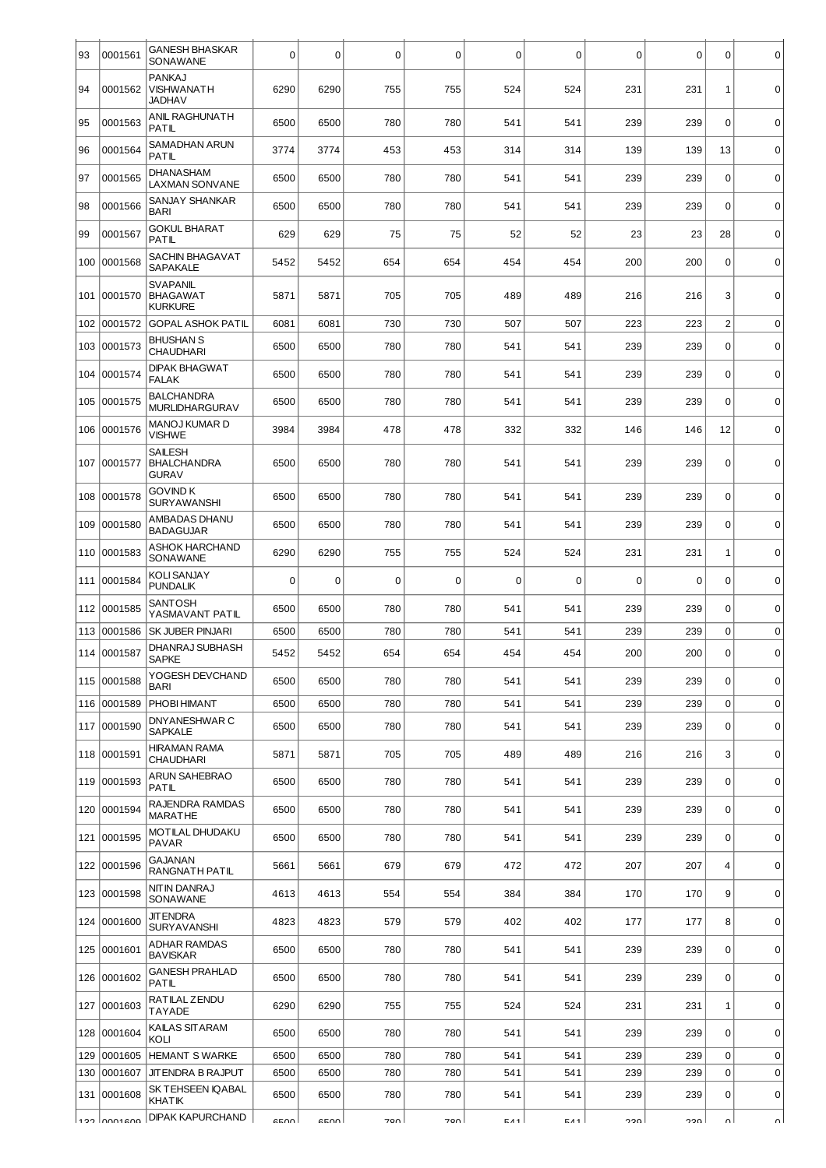| 93  | 0001561      | <b>GANESH BHASKAR</b><br>SONAWANE                    | 0    | 0           | $\mathbf 0$ | 0        | 0          | 0           | 0     | $\mathbf 0$ | 0              | $\mathbf 0$ |
|-----|--------------|------------------------------------------------------|------|-------------|-------------|----------|------------|-------------|-------|-------------|----------------|-------------|
| 94  | 0001562      | PANKAJ<br>VISHWANATH<br><b>JADHAV</b>                | 6290 | 6290        | 755         | 755      | 524        | 524         | 231   | 231         | 1              | $\mathbf 0$ |
| 95  | 0001563      | <b>ANIL RAGHUNATH</b><br>PATIL                       | 6500 | 6500        | 780         | 780      | 541        | 541         | 239   | 239         | $\mathbf 0$    | $\mathbf 0$ |
| 96  | 0001564      | SAMADHAN ARUN<br>PATIL                               | 3774 | 3774        | 453         | 453      | 314        | 314         | 139   | 139         | 13             | $\mathbf 0$ |
| 97  | 0001565      | DHANASHAM<br><b>LAXMAN SONVANE</b>                   | 6500 | 6500        | 780         | 780      | 541        | 541         | 239   | 239         | $\mathbf 0$    | $\mathbf 0$ |
| 98  | 0001566      | <b>SANJAY SHANKAR</b><br><b>BARI</b>                 | 6500 | 6500        | 780         | 780      | 541        | 541         | 239   | 239         | $\Omega$       | $\mathbf 0$ |
| 99  | 0001567      | <b>GOKUL BHARAT</b><br><b>PATIL</b>                  | 629  | 629         | 75          | 75       | 52         | 52          | 23    | 23          | 28             | $\mathbf 0$ |
| 100 | 0001568      | SACHIN BHAGAVAT<br>SAPAKALE                          | 5452 | 5452        | 654         | 654      | 454        | 454         | 200   | 200         | $\mathbf 0$    | $\mathbf 0$ |
| 101 | 0001570      | <b>SVAPANIL</b><br><b>BHAGAWAT</b><br><b>KURKURE</b> | 5871 | 5871        | 705         | 705      | 489        | 489         | 216   | 216         | 3              | $\mathbf 0$ |
| 102 | 0001572      | <b>GOPAL ASHOK PATIL</b>                             | 6081 | 6081        | 730         | 730      | 507        | 507         | 223   | 223         | $\overline{c}$ | $\mathbf 0$ |
| 103 | 0001573      | <b>BHUSHAN S</b><br><b>CHAUDHARI</b>                 | 6500 | 6500        | 780         | 780      | 541        | 541         | 239   | 239         | 0              | $\mathbf 0$ |
| 104 | 0001574      | <b>DIPAK BHAGWAT</b><br><b>FALAK</b>                 | 6500 | 6500        | 780         | 780      | 541        | 541         | 239   | 239         | $\mathbf 0$    | $\mathbf 0$ |
| 105 | 0001575      | <b>BALCHANDRA</b><br><b>MURLIDHARGURAV</b>           | 6500 | 6500        | 780         | 780      | 541        | 541         | 239   | 239         | $\mathbf 0$    | $\mathbf 0$ |
| 106 | 0001576      | MANOJ KUMAR D<br><b>VISHWE</b>                       | 3984 | 3984        | 478         | 478      | 332        | 332         | 146   | 146         | 12             | $\mathbf 0$ |
| 107 | 0001577      | <b>SAILESH</b><br><b>BHALCHANDRA</b><br><b>GURAV</b> | 6500 | 6500        | 780         | 780      | 541        | 541         | 239   | 239         | $\mathbf 0$    | $\mathbf 0$ |
| 108 | 0001578      | GOVIND K<br>SURYAWANSHI                              | 6500 | 6500        | 780         | 780      | 541        | 541         | 239   | 239         | $\mathbf 0$    | $\mathbf 0$ |
| 109 | 0001580      | AMBADAS DHANU<br><b>BADAGUJAR</b>                    | 6500 | 6500        | 780         | 780      | 541        | 541         | 239   | 239         | $\mathbf 0$    | $\mathbf 0$ |
| 110 | 0001583      | ASHOK HARCHAND<br>SONAWANE                           | 6290 | 6290        | 755         | 755      | 524        | 524         | 231   | 231         | 1              | $\mathbf 0$ |
| 111 | 0001584      | <b>KOLI SANJAY</b><br><b>PUNDALIK</b>                | 0    | $\mathbf 0$ | $\Omega$    | $\Omega$ | 0          | $\mathbf 0$ | 0     | 0           | $\mathbf 0$    | $\mathbf 0$ |
| 112 | 0001585      | SANTOSH<br>YASMAVANT PATIL                           | 6500 | 6500        | 780         | 780      | 541        | 541         | 239   | 239         | $\mathbf 0$    | $\mathbf 0$ |
| 113 | 0001586      | <b>SK JUBER PINJARI</b>                              | 6500 | 6500        | 780         | 780      | 541        | 541         | 239   | 239         | 0              | $\mathbf 0$ |
| 114 | 0001587      | DHANRAJ SUBHASH<br><b>SAPKE</b>                      | 5452 | 5452        | 654         | 654      | 454        | 454         | 200   | 200         | 0              | $\mathbf 0$ |
| 115 | 0001588      | YOGESH DEVCHAND<br>BARI                              | 6500 | 6500        | 780         | 780      | 541        | 541         | 239   | 239         | $\mathbf 0$    | $\mathbf 0$ |
| 116 | 0001589      | PHOBI HIMANT                                         | 6500 | 6500        | 780         | 780      | 541        | 541         | 239   | 239         | $\mathbf 0$    | $\mathbf 0$ |
| 117 | 0001590      | DNYANESHWAR C<br><b>SAPKALE</b>                      | 6500 | 6500        | 780         | 780      | 541        | 541         | 239   | 239         | $\mathbf 0$    | $\mathbf 0$ |
|     | 118 0001591  | <b>HIRAMAN RAMA</b><br>CHAUDHARI                     | 5871 | 5871        | 705         | 705      | 489        | 489         | 216   | 216         | 3              | $\mathbf 0$ |
| 119 | 0001593      | ARUN SAHEBRAO<br>PATIL                               | 6500 | 6500        | 780         | 780      | 541        | 541         | 239   | 239         | $\mathbf 0$    | $\mathbf 0$ |
| 120 | 0001594      | RAJENDRA RAMDAS<br><b>MARATHE</b>                    | 6500 | 6500        | 780         | 780      | 541        | 541         | 239   | 239         | $\mathbf 0$    | $\pmb{0}$   |
|     | 121 0001595  | MOTILAL DHUDAKU<br><b>PAVAR</b>                      | 6500 | 6500        | 780         | 780      | 541        | 541         | 239   | 239         | $\mathbf 0$    | $\mathbf 0$ |
| 122 | 0001596      | GAJANAN<br>RANGNATH PATIL                            | 5661 | 5661        | 679         | 679      | 472        | 472         | 207   | 207         | 4              | $\mathbf 0$ |
| 123 | 0001598      | NITIN DANRAJ<br>SONAWANE                             | 4613 | 4613        | 554         | 554      | 384        | 384         | 170   | 170         | 9              | $\mathbf 0$ |
|     | 124 0001600  | <b>JIT ENDRA</b><br><b>SURYAVANSHI</b>               | 4823 | 4823        | 579         | 579      | 402        | 402         | 177   | 177         | 8              | $\mathbf 0$ |
| 125 | 0001601      | <b>ADHAR RAMDAS</b><br><b>BAVISKAR</b>               | 6500 | 6500        | 780         | 780      | 541        | 541         | 239   | 239         | $\Omega$       | 0           |
| 126 | 0001602      | <b>GANESH PRAHLAD</b><br>PATIL                       | 6500 | 6500        | 780         | 780      | 541        | 541         | 239   | 239         | $\mathbf 0$    | $\mathbf 0$ |
| 127 | 0001603      | RATILAL ZENDU<br>TAYADE                              | 6290 | 6290        | 755         | 755      | 524        | 524         | 231   | 231         | 1              | $\mathbf 0$ |
| 128 | 0001604      | KAILAS SITARAM<br>KOLI                               | 6500 | 6500        | 780         | 780      | 541        | 541         | 239   | 239         | $\mathbf 0$    | $\mathbf 0$ |
| 129 | 0001605      | <b>HEMANT S WARKE</b>                                | 6500 | 6500        | 780         | 780      | 541        | 541         | 239   | 239         | $\mathbf 0$    | $\pmb{0}$   |
| 130 | 0001607      | JIT ENDRA B RAJPUT                                   | 6500 | 6500        | 780         | 780      | 541        | 541         | 239   | 239         | 0              | $\mathbf 0$ |
| 131 | 0001608      | SK TEHSEEN IQABAL<br><b>KHAT IK</b>                  | 6500 | 6500        | 780         | 780      | 541        | 541         | 239   | 239         | $\mathbf 0$    | 0           |
|     | 100 Innoscon | DIPAK KAPURCHAND                                     | CEN  | erno l      | ا ممح       | חחד      | <b>CA4</b> | <b>EA4</b>  | nnn l | nnn l       | o۱             | ᆡ           |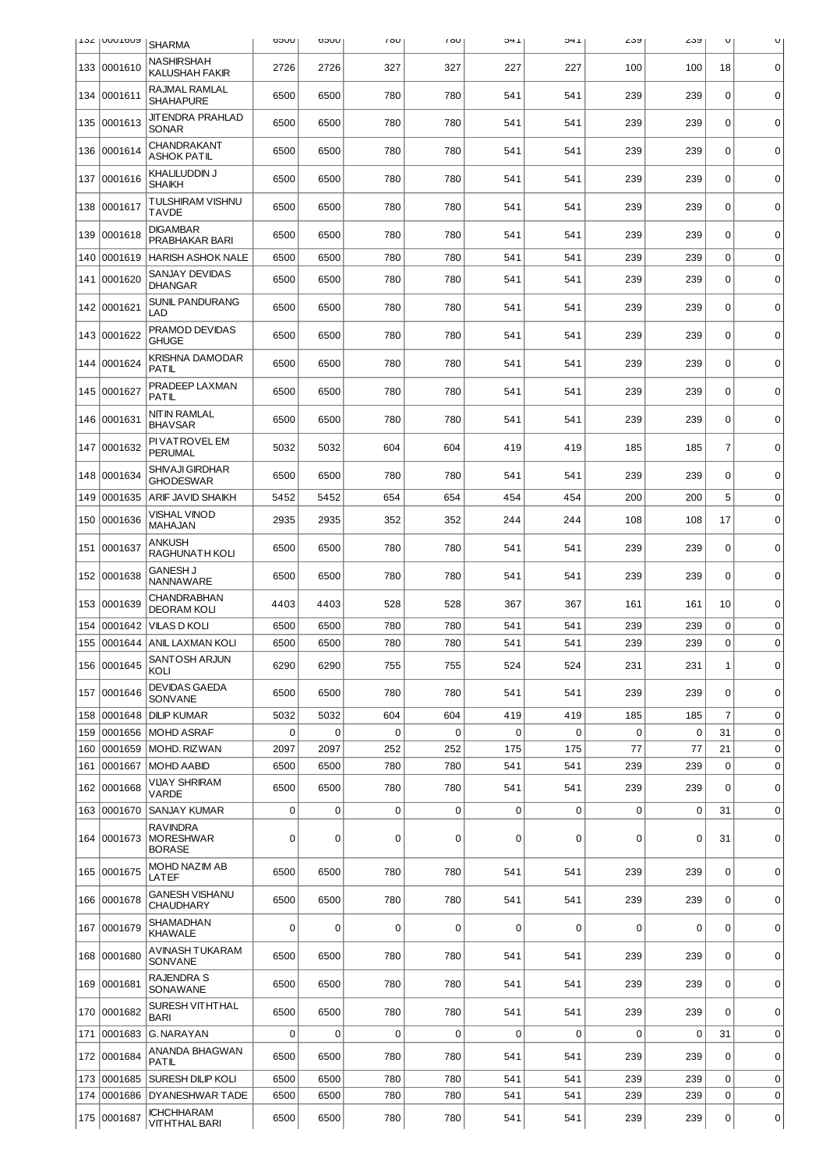|            | <b>T27 INNOTONA</b> | <b>SHARMA</b>                                        | UUCO      | UUCO                | 100       | 100      | 1+C         | 1 +C               | ∠ວຯ         | ∠ວນ<br>U |                | U                          |
|------------|---------------------|------------------------------------------------------|-----------|---------------------|-----------|----------|-------------|--------------------|-------------|----------|----------------|----------------------------|
| 133        | 0001610             | <b>NASHIRSHAH</b><br><b>KALUSHAH FAKIR</b>           | 2726      | 2726                | 327       | 327      | 227         | 227                | 100         | 100      | 18             | 0                          |
| 134        | 0001611             | RAJMAL RAMLAL<br><b>SHAHAPURE</b>                    | 6500      | 6500                | 780       | 780      | 541         | 541                | 239         | 239      | $\mathbf 0$    | $\mathbf 0$                |
| 135        | 0001613             | <b>JIT ENDRA PRAHLAD</b><br>SONAR                    | 6500      | 6500                | 780       | 780      | 541         | 541                | 239         | 239      | 0              | $\mathbf 0$                |
| 136        | 0001614             | <b>CHANDRAKANT</b><br><b>ASHOK PATIL</b>             | 6500      | 6500                | 780       | 780      | 541         | 541                | 239         | 239      | 0              | $\mathbf 0$                |
| 137        | 0001616             | KHALILUDDIN J<br><b>SHAIKH</b>                       | 6500      | 6500                | 780       | 780      | 541         | 541                | 239         | 239      | 0              | $\mathbf 0$                |
| 138        | 0001617             | <b>TULSHIRAM VISHNU</b><br><b>TAVDE</b>              | 6500      | 6500                | 780       | 780      | 541         | 541                | 239         | 239      | 0              | $\mathbf 0$                |
| 139        | 0001618             | <b>DIGAMBAR</b><br>PRABHAKAR BARI                    | 6500      | 6500                | 780       | 780      | 541         | 541                | 239         | 239      | 0              | $\mathbf 0$                |
| 140        | 0001619             | <b>HARISH ASHOK NALE</b>                             | 6500      | 6500                | 780       | 780      | 541         | 541                | 239         | 239      | $\mathbf 0$    | $\mathbf 0$                |
| 141        | 0001620             | SANJAY DEVIDAS<br><b>DHANGAR</b>                     | 6500      | 6500                | 780       | 780      | 541         | 541                | 239         | 239      | 0              | $\mathbf 0$                |
| 142        | 0001621             | <b>SUNIL PANDURANG</b><br>LAD                        | 6500      | 6500                | 780       | 780      | 541         | 541                | 239         | 239      | $\mathbf 0$    | 0                          |
| 143        | 0001622             | PRAMOD DEVIDAS<br><b>GHUGE</b>                       | 6500      | 6500                | 780       | 780      | 541         | 541                | 239         | 239      | 0              | $\mathbf 0$                |
| 144        | 0001624             | <b>KRISHNA DAMODAR</b><br><b>PATIL</b>               | 6500      | 6500                | 780       | 780      | 541         | 541                | 239         | 239      | 0              | $\mathbf 0$                |
| 145        | 0001627             | PRADEEP LAXMAN<br><b>PATIL</b>                       | 6500      | 6500                | 780       | 780      | 541         | 541                | 239         | 239      | $\mathbf 0$    | 0                          |
| 146        | 0001631             | <b>NITIN RAMLAL</b><br><b>BHAVSAR</b>                | 6500      | 6500                | 780       | 780      | 541         | 541                | 239         | 239      | 0              | $\mathbf 0$                |
| 147        | 0001632             | PI VAT ROVEL EM<br>PERUMAL                           | 5032      | 5032                | 604       | 604      | 419         | 419                | 185         | 185      | $\overline{7}$ | 0                          |
| 148        | 0001634             | SHIVAJI GIRDHAR<br><b>GHODESWAR</b>                  | 6500      | 6500                | 780       | 780      | 541         | 541                | 239         | 239      | 0              | $\mathbf 0$                |
| 149        | 0001635             | ARIF JAVID SHAIKH                                    | 5452      | 5452                | 654       | 654      | 454         | 454                | 200         | 200      | 5              | $\mathbf 0$                |
| 150        | 0001636             | <b>VISHAL VINOD</b><br><b>MAHAJAN</b>                | 2935      | 2935                | 352       | 352      | 244         | 244                | 108         | 108      | 17             | $\mathbf 0$                |
| 151        | 0001637             | <b>ANKUSH</b><br>RAGHUNATH KOLI                      | 6500      | 6500                | 780       | 780      | 541         | 541                | 239         | 239      | $\mathbf 0$    | $\mathbf 0$                |
| 152        | 0001638             | <b>GANESH J</b><br>NANNAWARE                         | 6500      | 6500                | 780       | 780      | 541         | 541                | 239         | 239      | $\mathbf 0$    | $\mathbf 0$                |
| 153        | 0001639             | <b>CHANDRABHAN</b><br><b>DEORAM KOLI</b>             | 4403      | 4403                | 528       | 528      | 367         | 367                | 161         | 161      | 10             | $\mathbf 0$                |
| 154        | 0001642             | <b>VILAS D KOLI</b>                                  | 6500      | 6500                | 780       | 780      | 541         | 541                | 239         | 239      | 0              | $\mathbf 0$                |
| 155        | 0001644             | ANIL LAXMAN KOLI                                     | 6500      | 6500                | 780       | 780      | 541         | 541                | 239         | 239      | 0              | $\mathbf 0$                |
|            | 156 0001645         | SANTOSH ARJUN<br>KOLI                                | 6290      | 6290                | 755       | 755      | 524         | 524                | 231         | 231      | 1              | 0                          |
| 157        | 0001646             | <b>DEVIDAS GAEDA</b><br>SONVANE                      | 6500      | 6500                | 780       | 780      | 541         | 541                | 239         | 239      | 0              | $\mathbf 0$                |
| 158        | 0001648             | DILIP KUMAR                                          | 5032      | 5032                | 604       | 604      | 419         | 419                | 185         | 185      | $\overline{7}$ | $\mathbf 0$                |
| 159<br>160 | 0001656<br>0001659  | <b>MOHD ASRAF</b><br>MOHD. RIZWAN                    | 0<br>2097 | $\mathbf 0$<br>2097 | 0<br>252  | 0<br>252 | 0<br>175    | $\mathbf 0$<br>175 | 0<br>77     | 0<br>77  | 31<br>21       | $\mathbf 0$<br>$\mathbf 0$ |
| 161        | 0001667             | <b>MOHD AABID</b>                                    | 6500      | 6500                | 780       | 780      | 541         | 541                | 239         | 239      | $\mathbf 0$    | $\mathbf 0$                |
| 162        | 0001668             | <b>VIJAY SHRIRAM</b><br>VARDE                        | 6500      | 6500                | 780       | 780      | 541         | 541                | 239         | 239      | $\Omega$       | 0                          |
| 163        | 0001670             | SANJAY KUMAR                                         | 0         | $\mathbf 0$         | $\pmb{0}$ | 0        | $\mathbf 0$ | $\mathbf 0$        | $\mathbf 0$ | 0        | 31             | $\mathbf 0$                |
| 164        | 0001673             | <b>RAVINDRA</b><br><b>MORESHWAR</b><br><b>BORASE</b> | 0         | 0                   | 0         | 0        | $\mathbf 0$ | $\mathbf 0$        | 0           | 0        | 31             | $\mathbf 0$                |
|            | 165 0001675         | MOHD NAZIM AB<br>LATEF                               | 6500      | 6500                | 780       | 780      | 541         | 541                | 239         | 239      | $\mathbf 0$    | 0                          |
|            | 166 0001678         | <b>GANESH VISHANU</b><br><b>CHAUDHARY</b>            | 6500      | 6500                | 780       | 780      | 541         | 541                | 239         | 239      | 0              | $\mathbf 0$                |
| 167        | 0001679             | SHAMADHAN<br><b>KHAWALE</b>                          | 0         | 0                   | 0         | 0        | $\mathbf 0$ | 0                  | 0           | 0        | 0              | $\mathbf 0$                |
|            | 168 0001680         | AVINASH TUKARAM<br>SONVANE                           | 6500      | 6500                | 780       | 780      | 541         | 541                | 239         | 239      | $\mathbf 0$    | $\mathbf 0$                |
|            | 169 0001681         | RAJENDRA S<br>SONAWANE                               | 6500      | 6500                | 780       | 780      | 541         | 541                | 239         | 239      | 0              | 0                          |
| 170        | 0001682             | SURESH VITHTHAL<br><b>BARI</b>                       | 6500      | 6500                | 780       | 780      | 541         | 541                | 239         | 239      | $\Omega$       | $\mathbf 0$                |
| 171        | 0001683             | G. NARAYAN                                           | 0         | $\mathbf 0$         | 0         | 0        | $\mathbf 0$ | $\mathbf 0$        | 0           | 0        | 31             | $\mathbf 0$                |
| 172        | 0001684             | ANANDA BHAGWAN<br>PATIL                              | 6500      | 6500                | 780       | 780      | 541         | 541                | 239         | 239      | $\Omega$       | $\mathbf 0$                |
| 173        | 0001685             | SURESH DILIP KOLI                                    | 6500      | 6500                | 780       | 780      | 541         | 541                | 239         | 239      | 0              | $\mathbf 0$                |
| 174        | 0001686             | DYANESHWAR TADE                                      | 6500      | 6500                | 780       | 780      | 541         | 541                | 239         | 239      | 0              | $\mathbf 0$                |
|            | 175 0001687         | <b>ICHCHHARAM</b><br><b>VITHTHAL BARI</b>            | 6500      | 6500                | 780       | 780      | 541         | 541                | 239         | 239      | 0              | 0                          |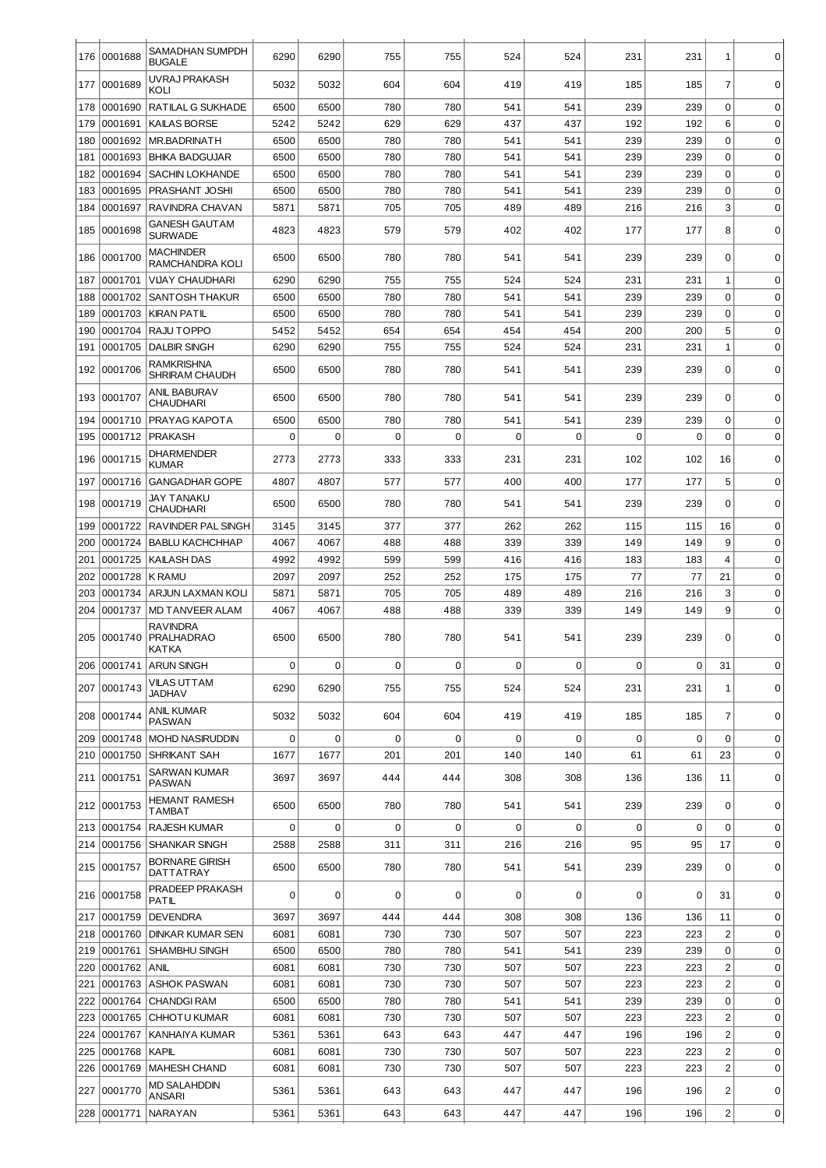| 176        | 0001688            | SAMADHAN SUMPDH<br><b>BUGALE</b>             | 6290         | 6290         | 755         | 755         | 524         | 524         | 231         | 231            | 1              | 0                          |
|------------|--------------------|----------------------------------------------|--------------|--------------|-------------|-------------|-------------|-------------|-------------|----------------|----------------|----------------------------|
| 177        | 0001689            | UVRAJ PRAKASH                                | 5032         | 5032         | 604         | 604         | 419         | 419         | 185         | 185            | $\overline{7}$ | 0                          |
| 178        | 0001690            | KOLI<br>RATILAL G SUKHADE                    | 6500         | 6500         | 780         | 780         | 541         | 541         | 239         | 239            | 0              | 0                          |
| 179        | 0001691            | <b>KAILAS BORSE</b>                          | 5242         | 5242         | 629         | 629         | 437         | 437         | 192         | 192            | 6              | 0                          |
| 180        | 0001692            | MR.BADRINATH                                 | 6500         | 6500         | 780         | 780         | 541         | 541         | 239         | 239            | $\Omega$       | $\mathbf 0$                |
| 181        | 0001693            | <b>BHIKA BADGUJAR</b>                        | 6500         | 6500         | 780         | 780         | 541         | 541         | 239         | 239            | 0              | $\mathbf 0$                |
| 182        | 0001694            | <b>SACHIN LOKHANDE</b>                       | 6500         | 6500         | 780         | 780         | 541         | 541         | 239         | 239            | 0              | $\mathbf 0$                |
| 183        | 0001695            | PRASHANT JOSHI                               | 6500         | 6500         | 780         | 780         | 541         | 541         | 239         | 239            | 0              | $\mathbf 0$                |
| 184        | 0001697            | RAVINDRA CHAVAN                              | 5871         | 5871         | 705         | 705         | 489         | 489         | 216         | 216            | 3              | $\mathbf 0$                |
| 185        | 0001698            | <b>GANESH GAUT AM</b><br><b>SURWADE</b>      | 4823         | 4823         | 579         | 579         | 402         | 402         | 177         | 177            | 8              | $\Omega$                   |
| 186        | 0001700            | <b>MACHINDER</b><br>RAMCHANDRA KOLI          | 6500         | 6500         | 780         | 780         | 541         | 541         | 239         | 239            | $\mathbf 0$    | $\mathbf 0$                |
| 187        | 0001701            | <b>VIJAY CHAUDHARI</b>                       | 6290         | 6290         | 755         | 755         | 524         | 524         | 231         | 231            | $\mathbf 1$    | $\mathbf 0$                |
| 188        | 0001702            | <b>SANTOSH THAKUR</b>                        | 6500         | 6500         | 780         | 780         | 541         | 541         | 239         | 239            | 0              | $\mathbf 0$                |
| 189        | 0001703            | <b>KIRAN PATIL</b>                           | 6500         | 6500         | 780         | 780         | 541         | 541         | 239         | 239            | $\pmb{0}$      | $\mathbf 0$                |
| 190        | 0001704            | <b>RAJU TOPPO</b>                            | 5452         | 5452         | 654         | 654         | 454         | 454         | 200         | 200            | 5              | $\mathbf 0$                |
| 191        | 0001705            | <b>DALBIR SINGH</b>                          | 6290         | 6290         | 755         | 755         | 524         | 524         | 231         | 231            | $\mathbf 1$    | $\mathbf 0$                |
| 192        | 0001706            | RAMKRISHNA<br><b>SHRIRAM CHAUDH</b>          | 6500         | 6500         | 780         | 780         | 541         | 541         | 239         | 239            | $\mathbf 0$    | $\mathbf 0$                |
| 193        | 0001707            | ANIL BABURAV<br>CHAUDHARI                    | 6500         | 6500         | 780         | 780         | 541         | 541         | 239         | 239            | $\mathbf 0$    | $\mathbf 0$                |
| 194        | 0001710            | PRAYAG KAPOTA                                | 6500         | 6500         | 780         | 780         | 541         | 541         | 239         | 239            | $\mathbf 0$    | $\mathbf 0$                |
| 195        | 0001712            | <b>PRAKASH</b>                               | 0            | $\mathbf 0$  | $\mathbf 0$ | $\mathbf 0$ | $\mathbf 0$ | $\mathbf 0$ | $\mathbf 0$ | 0              | $\mathbf 0$    | $\mathbf 0$                |
| 196        | 0001715            | <b>DHARMENDER</b><br><b>KUMAR</b>            | 2773         | 2773         | 333         | 333         | 231         | 231         | 102         | 102            | 16             | 0                          |
| 197<br>198 | 0001716<br>0001719 | <b>GANGADHAR GOPE</b><br>JAY TANAKU          | 4807<br>6500 | 4807<br>6500 | 577<br>780  | 577<br>780  | 400<br>541  | 400<br>541  | 177<br>239  | 177<br>239     | 5<br>$\Omega$  | $\mathbf 0$<br>$\mathbf 0$ |
|            |                    | <b>CHAUDHARI</b>                             |              |              | 377         | 377         | 262         |             |             | 115            | 16             | $\mathbf 0$                |
| 199<br>200 | 0001722<br>0001724 | RAVINDER PAL SINGH<br><b>BABLU KACHCHHAP</b> | 3145<br>4067 | 3145<br>4067 | 488         | 488         | 339         | 262<br>339  | 115<br>149  | 149            | 9              | $\mathbf 0$                |
| 201        | 0001725            | <b>KAILASH DAS</b>                           | 4992         | 4992         | 599         | 599         | 416         | 416         | 183         | 183            | $\overline{4}$ | $\mathbf 0$                |
| 202        | 0001728            | K RAMU                                       | 2097         | 2097         | 252         | 252         | 175         | 175         | 77          | 77             | 21             | $\mathbf 0$                |
| 203        | 0001734            | ARJUN LAXMAN KOLI                            | 5871         | 5871         | 705         | 705         | 489         | 489         | 216         | 216            | 3              | $\mathbf 0$                |
| 204        | 0001737            | <b>MD TANVEER ALAM</b>                       | 4067         | 4067         | 488         | 488         | 339         | 339         | 149         | 149            | 9              | $\mathbf 0$                |
| 205        | 0001740            | <b>RAVINDRA</b><br><b>PRALHADRAO</b>         | 6500         | 6500         | 780         | 780         | 541         | 541         | 239         | 239            | 0              | 0                          |
|            |                    | KATKA<br>206 0001741 ARUN SINGH              | 0            | 0            | 0           | 0           | 0           | $\mathbf 0$ | 0           | $\overline{0}$ | 31             | 0                          |
| 207        | 0001743            | VILAS UTTAM<br><b>JADHAV</b>                 | 6290         | 6290         | 755         | 755         | 524         | 524         | 231         | 231            | 1              | $\mathbf 0$                |
| 208        | 0001744            | ANIL KUMAR<br><b>PASWAN</b>                  | 5032         | 5032         | 604         | 604         | 419         | 419         | 185         | 185            | 7              | $\mathbf 0$                |
| 209        | 0001748            | <b>MOHD NASIRUDDIN</b>                       | 0            | 0            | $\mathbf 0$ | 0           | 0           | $\mathbf 0$ | $\mathbf 0$ | 0              | $\mathbf 0$    | $\mathbf 0$                |
| 210        | 0001750            | <b>SHRIKANT SAH</b>                          | 1677         | 1677         | 201         | 201         | 140         | 140         | 61          | 61             | 23             | $\mathbf 0$                |
| 211        | 0001751            | SARWAN KUMAR<br><b>PASWAN</b>                | 3697         | 3697         | 444         | 444         | 308         | 308         | 136         | 136            | 11             | $\mathbf 0$                |
|            | 212 0001753        | <b>HEMANT RAMESH</b><br>TAMBAT               | 6500         | 6500         | 780         | 780         | 541         | 541         | 239         | 239            | $\Omega$       | $\mathbf 0$                |
| 213        | 0001754            | <b>RAJESH KUMAR</b>                          | 0            | 0            | $\mathbf 0$ | $\mathbf 0$ | 0           | $\mathbf 0$ | $\mathbf 0$ | $\mathbf 0$    | $\mathbf 0$    | $\mathbf 0$                |
| 214        | 0001756            | <b>SHANKAR SINGH</b>                         | 2588         | 2588         | 311         | 311         | 216         | 216         | 95          | 95             | 17             | $\mathbf 0$                |
| 215        | 0001757            | <b>BORNARE GIRISH</b><br>DATTATRAY           | 6500         | 6500         | 780         | 780         | 541         | 541         | 239         | 239            | 0              | 0                          |
| 216        | 0001758            | PRADEEP PRAKASH<br>PATIL                     | 0            | 0            | $\Omega$    | $\Omega$    | 0           | 0           | 0           | 0              | 31             | $\mathbf 0$                |
| 217        | 0001759            | <b>DEVENDRA</b>                              | 3697         | 3697         | 444         | 444         | 308         | 308         | 136         | 136            | 11             | $\mathbf 0$                |
| 218        | 0001760            | DINKAR KUMAR SEN                             | 6081         | 6081         | 730         | 730         | 507         | 507         | 223         | 223            | $\overline{c}$ | 0                          |
| 219        |                    | 0001761 SHAMBHU SINGH                        | 6500         | 6500         | 780         | 780         | 541         | 541         | 239         | 239            | $\mathbf 0$    | $\mathbf 0$                |
| 220        | 0001762            | ANIL                                         | 6081         | 6081         | 730         | 730         | 507         | 507         | 223         | 223            | $\overline{c}$ | $\mathbf 0$                |
| 221        |                    | 0001763 ASHOK PASWAN                         | 6081         | 6081         | 730         | 730         | 507         | 507         | 223         | 223            | $\overline{c}$ | $\mathbf 0$                |
| 222        | 0001764            | CHANDGI RAM                                  | 6500         | 6500         | 780         | 780         | 541         | 541         | 239         | 239            | $\mathbf 0$    | $\mathbf 0$                |
| 223        |                    | 0001765 CHHOTU KUMAR                         | 6081         | 6081         | 730         | 730         | 507         | 507         | 223         | 223            | $\overline{c}$ | $\mathbf 0$                |
| 224        | 0001767            | KANHAIYA KUMAR                               | 5361         | 5361         | 643         | 643         | 447         | 447         | 196         | 196            | $\overline{c}$ | $\mathbf 0$                |
| 225        | 0001768            | KAPIL                                        | 6081         | 6081         | 730         | 730         | 507         | 507         | 223         | 223            | $\overline{c}$ | $\mathbf 0$                |
| 226        |                    | 0001769   MAHESH CHAND                       | 6081         | 6081         | 730         | 730         | 507         | 507         | 223         | 223            | $\overline{c}$ | $\mathbf 0$                |
| 227        | 0001770            | <b>MD SALAHDDIN</b><br>ANSARI                | 5361         | 5361         | 643         | 643         | 447         | 447         | 196         | 196            | $\overline{c}$ | $\mathbf 0$                |
| 228        | 0001771            | <b>NARAYAN</b>                               | 5361         | 5361         | 643         | 643         | 447         | 447         | 196         | 196            | 2              | $\mathbf 0$                |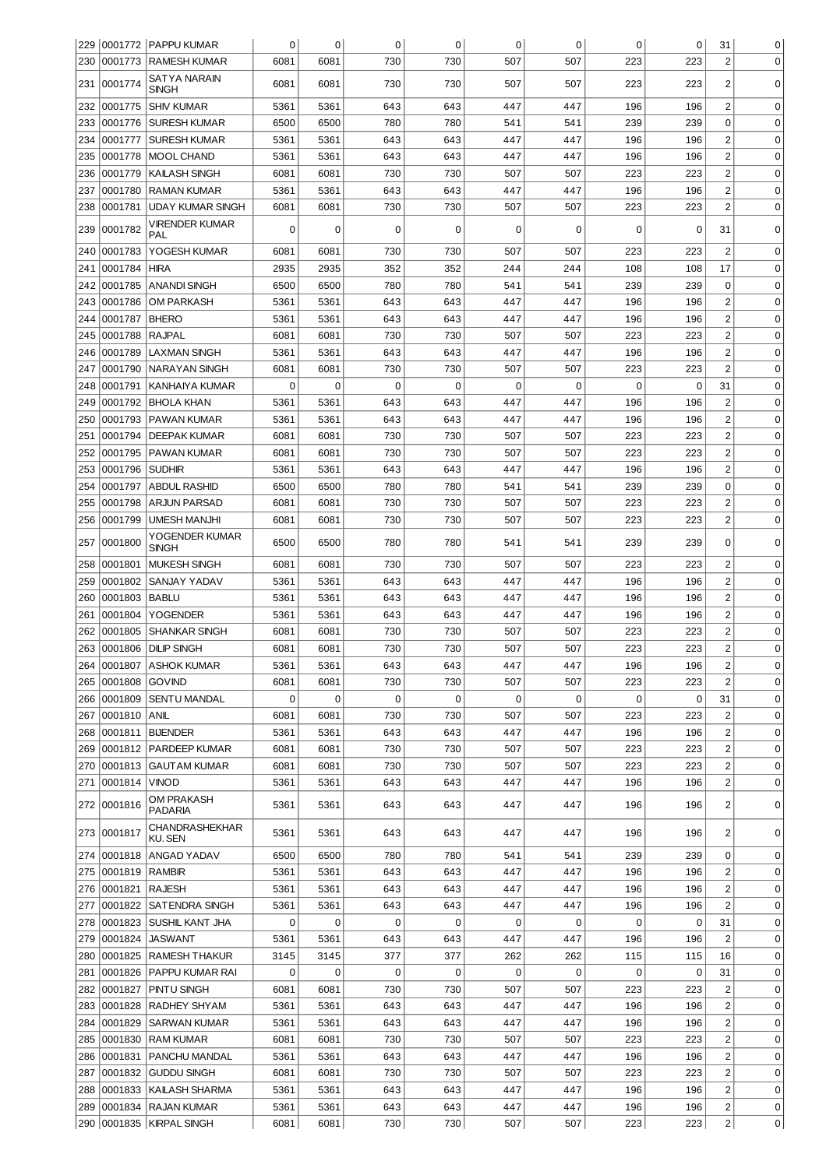|            |                    | 229 0001772 PAPPU KUMAR                       | 0            | 0            | 0                  | $\pmb{0}$          | 0          | 0                  | 0           | 0           | 31                                        | 0                          |
|------------|--------------------|-----------------------------------------------|--------------|--------------|--------------------|--------------------|------------|--------------------|-------------|-------------|-------------------------------------------|----------------------------|
| 230        | 0001773            | <b>RAMESH KUMAR</b>                           | 6081         | 6081         | 730                | 730                | 507        | 507                | 223         | 223         | $\overline{2}$                            | $\mathbf 0$                |
| 231        | 0001774            | SATYA NARAIN                                  | 6081         | 6081         | 730                | 730                | 507        | 507                | 223         | 223         | 2                                         | 0                          |
|            |                    | SINGH                                         |              |              |                    |                    |            |                    |             |             |                                           |                            |
| 232        | 0001775            | <b>SHIV KUMAR</b>                             | 5361         | 5361         | 643                | 643                | 447        | 447                | 196         | 196         | $\overline{2}$                            | 0                          |
| 233        | 0001776            | <b>SURESH KUMAR</b>                           | 6500         | 6500         | 780                | 780                | 541        | 541                | 239         | 239         | 0                                         | 0                          |
| 234        | 0001777            | <b>SURESH KUMAR</b>                           | 5361         | 5361         | 643                | 643                | 447        | 447                | 196         | 196         | $\overline{c}$                            | 0                          |
| 235        | 0001778            | <b>MOOL CHAND</b>                             | 5361         | 5361         | 643                | 643                | 447        | 447                | 196         | 196         | $\overline{c}$                            | 0                          |
| 236        | 0001779            | <b>KAILASH SINGH</b>                          | 6081         | 6081         | 730                | 730                | 507        | 507                | 223         | 223         | $\overline{2}$                            | 0                          |
| 237        | 0001780            | <b>RAMAN KUMAR</b><br><b>UDAY KUMAR SINGH</b> | 5361         | 5361<br>6081 | 643<br>730         | 643<br>730         | 447        | 447                | 196<br>223  | 196         | $\overline{\mathbf{c}}$<br>$\overline{2}$ | 0<br>0                     |
| 238        | 0001781            | VIRENDER KUMAR                                | 6081         |              |                    |                    | 507        | 507                |             | 223         |                                           |                            |
| 239        | 0001782            | PAL                                           | 0            | 0            | 0                  | 0                  | 0          | 0                  | 0           | $\mathbf 0$ | 31                                        | $\Omega$                   |
| 240        | 0001783            | YOGESH KUMAR                                  | 6081         | 6081         | 730                | 730                | 507        | 507                | 223         | 223         | $\overline{2}$                            | 0                          |
| 241        | 0001784            | <b>HIRA</b>                                   | 2935         | 2935         | 352                | 352                | 244        | 244                | 108         | 108         | 17                                        | 0                          |
| 242        | 0001785            | <b>ANANDI SINGH</b>                           | 6500         | 6500         | 780                | 780                | 541        | 541                | 239         | 239         | 0                                         | 0                          |
| 243        | 0001786            | <b>OM PARKASH</b>                             | 5361         | 5361         | 643                | 643                | 447        | 447                | 196         | 196         | $\overline{2}$                            | $\mathbf 0$                |
| 244        | 0001787            | <b>BHERO</b>                                  | 5361         | 5361         | 643                | 643                | 447        | 447                | 196         | 196         | $\overline{2}$                            | 0                          |
| 245        | 0001788            | <b>RAJPAL</b>                                 | 6081         | 6081         | 730                | 730                | 507        | 507                | 223         | 223         | $\overline{2}$                            | 0                          |
| 246        | 0001789            | <b>LAXMAN SINGH</b>                           | 5361         | 5361         | 643                | 643                | 447        | 447                | 196         | 196         | $\overline{2}$                            | $\mathbf 0$                |
| 247        | 0001790            | <b>NARAYAN SINGH</b>                          | 6081         | 6081         | 730                | 730                | 507        | 507                | 223         | 223         | $\overline{2}$                            | $\mathbf 0$                |
| 248        | 0001791            | KANHAIYA KUMAR                                | 0            | $\mathbf 0$  | $\mathbf 0$        | $\mathbf 0$        | 0          | 0                  | $\mathbf 0$ | $\mathbf 0$ | 31                                        | $\mathbf 0$                |
| 249        | 0001792            | <b>BHOLA KHAN</b>                             | 5361         | 5361         | 643                | 643                | 447        | 447                | 196         | 196         | $\overline{2}$                            | $\mathbf 0$                |
| 250        | 0001793            | PAWAN KUMAR                                   | 5361         | 5361         | 643                | 643                | 447        | 447                | 196         | 196         | $\overline{2}$                            | $\mathbf 0$                |
| 251        | 0001794            | <b>DEEPAK KUMAR</b>                           | 6081         | 6081         | 730                | 730                | 507        | 507                | 223         | 223         | $\overline{c}$                            | $\mathbf 0$                |
| 252        | 0001795            | PAWAN KUMAR                                   | 6081         | 6081         | 730                | 730                | 507        | 507                | 223         | 223         | $\overline{2}$                            | $\mathbf 0$                |
| 253        | 0001796            | <b>SUDHIR</b>                                 | 5361         | 5361         | 643                | 643                | 447        | 447                | 196         | 196         | $\overline{2}$                            | $\mathbf 0$                |
| 254        | 0001797            | <b>ABDUL RASHID</b>                           | 6500         | 6500         | 780                | 780                | 541        | 541                | 239         | 239         | $\mathbf 0$                               | $\mathbf 0$                |
| 255        | 0001798            | <b>ARJUN PARSAD</b>                           | 6081         | 6081         | 730                | 730                | 507        | 507                | 223         | 223         | $\overline{\mathbf{c}}$                   | $\mathbf 0$                |
| 256        | 0001799            | <b>UMESH MANJHI</b>                           | 6081         | 6081         | 730                | 730                | 507        | 507                | 223         | 223         | $\overline{c}$                            | $\mathbf 0$                |
| 257        | 0001800            | YOGENDER KUMAR<br><b>SINGH</b>                | 6500         | 6500         | 780                | 780                | 541        | 541                | 239         | 239         | $\mathbf 0$                               | $\mathbf 0$                |
| 258        | 0001801            | <b>MUKESH SINGH</b>                           | 6081         | 6081         | 730                | 730                | 507        | 507                | 223         | 223         | $\overline{2}$                            | 0                          |
| 259        | 0001802            | SANJAY YADAV                                  | 5361         | 5361         | 643                | 643                | 447        | 447                | 196         | 196         | $\overline{2}$                            | 0                          |
| 260        | 0001803            | <b>BABLU</b>                                  | 5361         | 5361         | 643                | 643                | 447        | 447                | 196         | 196         | $\overline{\mathbf{c}}$                   | 0                          |
| 261        | 0001804            | <b>YOGENDER</b>                               | 5361         | 5361         | 643                | 643                | 447        | 447                | 196         | 196         | $\overline{\mathbf{c}}$                   | $\mathbf 0$                |
| 262        | 0001805            | <b>SHANKAR SINGH</b>                          | 6081         | 6081         | 730                | 730                | 507        | 507                | 223         | 223         | $\overline{\mathbf{c}}$                   | $\pmb{0}$                  |
| 263        | 0001806            | <b>DILIP SINGH</b>                            | 6081         | 6081         | 730                | 730                | 507        | 507                | 223         | 223         | $\overline{2}$                            | 0                          |
|            |                    | 264 0001807 ASHOK KUMAR                       | 5361         | 5361         | 643                | 643                | 447        | 447                | 196         | 196         | 2                                         | 0                          |
| 265        | 0001808            | <b>GOVIND</b>                                 | 6081         | 6081         | 730                | 730                | 507        | 507                | 223         | 223         | $\overline{c}$                            | $\mathbf 0$                |
| 266        | 0001809            | <b>SENTU MANDAL</b>                           | 0            | 0            | $\mathbf 0$        | $\mathbf 0$        | 0          | $\mathbf 0$        | 0           | $\mathbf 0$ | 31                                        | $\mathbf 0$                |
| 267        | 0001810            | ANIL                                          | 6081         | 6081         | 730                | 730                | 507        | 507                | 223         | 223         | $\overline{\mathbf{c}}$                   | $\mathbf 0$                |
| 268        | 0001811            | <b>BIJENDER</b>                               | 5361         | 5361         | 643                | 643                | 447        | 447                | 196         | 196         | $\overline{\mathbf{c}}$                   | $\mathbf 0$                |
| 269        | 0001812            | <b>PARDEEP KUMAR</b>                          | 6081         | 6081         | 730                | 730                | 507        | 507                | 223         | 223         | $\overline{\mathbf{c}}$                   | $\mathbf 0$                |
| 270        | 0001813<br>0001814 | <b>GAUTAM KUMAR</b><br><b>VINOD</b>           | 6081<br>5361 | 6081<br>5361 | 730<br>643         | 730<br>643         | 507<br>447 | 507<br>447         | 223<br>196  | 223<br>196  | $\overline{\mathbf{c}}$<br>$\overline{c}$ | 0<br>0                     |
| 271        |                    | OM PRAKASH                                    |              |              |                    |                    |            |                    |             |             |                                           |                            |
|            | 272 0001816        | PADARIA                                       | 5361         | 5361         | 643                | 643                | 447        | 447                | 196         | 196         | $\overline{c}$                            | $\mathbf 0$                |
|            | 273 0001817        | CHANDRASHEKHAR<br>KU. SEN                     | 5361         | 5361         | 643                | 643                | 447        | 447                | 196         | 196         | 2                                         | 0                          |
| 274        | 0001818            | ANGAD YADAV                                   | 6500         | 6500         | 780                | 780                | 541        | 541                | 239         | 239         | 0                                         | 0                          |
| 275        | 0001819            | <b>RAMBIR</b>                                 | 5361         | 5361         | 643                | 643                | 447        | 447                | 196         | 196         | $\overline{c}$                            | $\mathbf 0$                |
| 276        | 0001821            | <b>RAJESH</b>                                 | 5361         | 5361         | 643                | 643                | 447        | 447                | 196         | 196         | $\overline{c}$                            | $\mathbf 0$                |
| 277        | 0001822            | SATENDRA SINGH                                | 5361         | 5361         | 643                | 643                | 447        | 447                | 196         | 196         | $\overline{c}$                            | $\mathbf 0$                |
| 278        | 0001823            | SUSHIL KANT JHA                               | 0            | 0            | $\mathbf 0$        | $\mathbf 0$        | 0          | 0                  | 0           | 0           | 31                                        | $\mathbf 0$                |
| 279        | 0001824            | <b>JASWANT</b>                                | 5361         | 5361         | 643                | 643                | 447        | 447                | 196         | 196         | $\overline{2}$                            | $\mathbf 0$                |
| 280        | 0001825            | <b>RAMESH THAKUR</b>                          | 3145         | 3145         | 377<br>$\mathbf 0$ | 377<br>$\mathbf 0$ | 262        | 262<br>$\mathbf 0$ | 115<br>0    | 115         | 16                                        | $\mathbf 0$                |
| 281        | 0001826<br>0001827 | <b>PAPPU KUMAR RAI</b>                        | 0            | 0            | 730                | 730                | 0          |                    | 223         | $\mathbf 0$ | 31<br>$\overline{2}$                      | $\mathbf 0$<br>$\mathbf 0$ |
| 282<br>283 | 0001828            | PINTU SINGH<br>RADHEY SHYAM                   | 6081<br>5361 | 6081<br>5361 | 643                | 643                | 507<br>447 | 507<br>447         | 196         | 223<br>196  | $\overline{c}$                            | $\mathbf 0$                |
| 284        | 0001829            | <b>SARWAN KUMAR</b>                           | 5361         | 5361         | 643                | 643                | 447        | 447                | 196         | 196         | $\overline{\mathbf{c}}$                   | $\mathbf 0$                |
| 285        | 0001830            | <b>RAM KUMAR</b>                              | 6081         | 6081         | 730                | 730                | 507        | 507                | 223         | 223         | $\overline{\mathbf{c}}$                   | $\mathbf 0$                |
| 286        | 0001831            | PANCHU MANDAL                                 | 5361         | 5361         | 643                | 643                | 447        | 447                | 196         | 196         | $\overline{\mathbf{c}}$                   | $\mathbf 0$                |
| 287        | 0001832            | <b>GUDDU SINGH</b>                            | 6081         | 6081         | 730                | 730                | 507        | 507                | 223         | 223         | $\overline{\mathbf{c}}$                   | $\mathbf 0$                |
| 288        | 0001833            | KAILASH SHARMA                                | 5361         | 5361         | 643                | 643                | 447        | 447                | 196         | 196         | $\overline{\mathbf{c}}$                   | $\mathbf 0$                |
| 289        | 0001834            | RAJAN KUMAR                                   | 5361         | 5361         | 643                | 643                | 447        | 447                | 196         | 196         | 2                                         | 0                          |
|            |                    | 290 0001835 KIRPAL SINGH                      | 6081         | 6081         | 730                | 730                | 507        | 507                | 223         | 223         | $\overline{c}$                            | 0                          |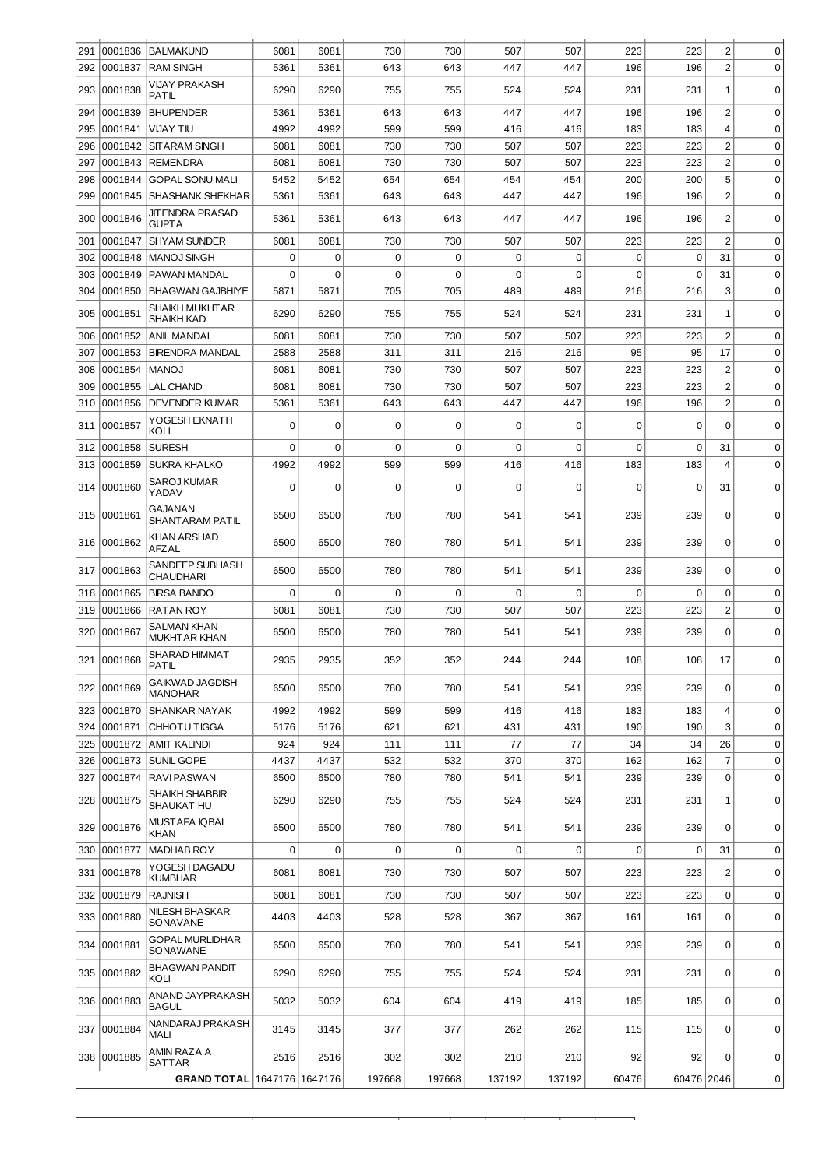| 291        | 0001836            | <b>BALMAKUND</b>                           | 6081         | 6081         | 730         | 730        | 507         | 507         | 223         | 223        | $\overline{c}$      | 0                          |
|------------|--------------------|--------------------------------------------|--------------|--------------|-------------|------------|-------------|-------------|-------------|------------|---------------------|----------------------------|
| 292<br>293 | 0001837<br>0001838 | <b>RAM SINGH</b><br><b>VIJAY PRAKASH</b>   | 5361<br>6290 | 5361<br>6290 | 643<br>755  | 643<br>755 | 447<br>524  | 447<br>524  | 196<br>231  | 196<br>231 | $\overline{c}$<br>1 | 0<br>$\Omega$              |
| 294        | 0001839            | <b>PATIL</b><br><b>BHUPENDER</b>           | 5361         | 5361         | 643         | 643        | 447         | 447         | 196         | 196        | $\overline{c}$      | $\mathbf 0$                |
| 295        | 0001841            | <b>VIJAY TIU</b>                           | 4992         | 4992         | 599         | 599        | 416         | 416         | 183         | 183        | 4                   | $\mathbf 0$                |
| 296        | 0001842            | <b>SITARAM SINGH</b>                       | 6081         | 6081         | 730         | 730        | 507         | 507         | 223         | 223        | $\overline{c}$      | $\mathbf 0$                |
|            |                    |                                            |              |              |             |            |             |             |             |            |                     |                            |
| 297        | 0001843            | <b>REMENDRA</b>                            | 6081         | 6081         | 730         | 730        | 507         | 507         | 223         | 223        | $\overline{c}$      | $\mathbf 0$                |
| 298        | 0001844            | <b>GOPAL SONU MALI</b>                     | 5452         | 5452         | 654         | 654        | 454         | 454         | 200         | 200        | 5                   | $\mathbf 0$                |
| 299        |                    | 0001845   SHASHANK SHEKHAR                 | 5361         | 5361         | 643         | 643        | 447         | 447         | 196         | 196        | $\overline{c}$      | 0                          |
| 300        | 0001846            | <b>JIT ENDRA PRASAD</b><br><b>GUPTA</b>    | 5361         | 5361         | 643         | 643        | 447         | 447         | 196         | 196        | $\overline{c}$      | $\mathbf 0$                |
| 301        | 0001847            | <b>SHYAM SUNDER</b>                        | 6081         | 6081         | 730         | 730        | 507         | 507         | 223         | 223        | $\overline{c}$      | $\mathbf 0$                |
| 302        | 0001848            | <b>MANOJ SINGH</b>                         | $\mathbf 0$  | $\mathbf 0$  | $\mathbf 0$ | 0          | 0           | $\mathbf 0$ | $\mathbf 0$ | 0          | 31                  | $\mathbf 0$                |
| 303        | 0001849            | PAWAN MANDAL                               | $\mathbf 0$  | $\mathbf 0$  | $\mathbf 0$ | 0          | 0           | $\mathbf 0$ | $\Omega$    | 0          | 31                  | $\mathbf 0$                |
| 304        | 0001850            | <b>BHAGWAN GAJBHIYE</b>                    | 5871         | 5871         | 705         | 705        | 489         | 489         | 216         | 216        | 3                   | 0                          |
| 305        | 0001851            | <b>SHAIKH MUKHTAR</b><br><b>SHAIKH KAD</b> | 6290         | 6290         | 755         | 755        | 524         | 524         | 231         | 231        | 1                   | $\mathbf 0$                |
| 306        | 0001852            | ANIL MANDAL                                | 6081         | 6081         | 730         | 730        | 507         | 507         | 223         | 223        | $\overline{c}$      | $\mathbf 0$                |
| 307        | 0001853            | <b>BIRENDRA MANDAL</b>                     | 2588         | 2588         | 311         | 311        | 216         | 216         | 95          | 95         | 17                  | 0                          |
|            | 0001854            | <b>MANOJ</b>                               | 6081         | 6081         | 730         | 730        | 507         | 507         | 223         | 223        | $\overline{2}$      | $\mathbf 0$                |
| 308        |                    |                                            |              |              |             |            |             |             |             |            |                     |                            |
| 309        | 0001855            | <b>LAL CHAND</b>                           | 6081         | 6081         | 730         | 730        | 507         | 507         | 223         | 223        | $\overline{2}$      | $\mathbf 0$                |
| 310        | 0001856            | <b>DEVENDER KUMAR</b>                      | 5361         | 5361         | 643         | 643        | 447         | 447         | 196         | 196        | $\overline{c}$      | $\mathbf 0$                |
| 311        | 0001857            | YOGESH EKNATH<br>KOLI                      | $\Omega$     | $\Omega$     | $\Omega$    | 0          | 0           | $\Omega$    | $\Omega$    | $\Omega$   | $\Omega$            | $\Omega$                   |
| 312        | 0001858            | <b>SURESH</b>                              | $\mathbf 0$  | $\mathbf 0$  | $\mathbf 0$ | 0          | $\mathbf 0$ | $\mathbf 0$ | $\mathbf 0$ | 0          | 31                  | $\mathbf 0$                |
| 313        | 0001859            | <b>SUKRA KHALKO</b>                        | 4992         | 4992         | 599         | 599        | 416         | 416         | 183         | 183        | 4                   | $\Omega$                   |
| 314        | 0001860            | SAROJ KUMAR<br>YADAV                       | 0            | 0            | 0           | 0          | 0           | $\mathbf 0$ | 0           | 0          | 31                  | $\mathbf 0$                |
| 315        | 0001861            | <b>GAJANAN</b><br><b>SHANTARAM PATIL</b>   | 6500         | 6500         | 780         | 780        | 541         | 541         | 239         | 239        | $\Omega$            | $\Omega$                   |
| 316        | 0001862            | <b>KHAN ARSHAD</b><br>AFZAL                | 6500         | 6500         | 780         | 780        | 541         | 541         | 239         | 239        | 0                   | $\mathbf 0$                |
| 317        | 0001863            | SANDEEP SUBHASH<br><b>CHAUDHARI</b>        | 6500         | 6500         | 780         | 780        | 541         | 541         | 239         | 239        | $\Omega$            | $\mathbf 0$                |
| 318        | 0001865            | <b>BIRSA BANDO</b>                         | $\mathbf 0$  | $\Omega$     | $\mathbf 0$ | 0          | 0           | $\Omega$    | $\Omega$    | 0          | 0                   | $\mathbf 0$                |
| 319        | 0001866            | <b>RATAN ROY</b>                           | 6081         | 6081         | 730         | 730        | 507         | 507         | 223         | 223        | $\overline{c}$      | $\mathbf 0$                |
| 320        | 0001867            | SALMAN KHAN<br><b>MUKHTAR KHAN</b>         | 6500         | 6500         | 780         | 780        | 541         | 541         | 239         | 239        | 0                   | $\Omega$                   |
|            | 321 0001868        | SHARAD HIMMAT<br><b>PATIL</b>              | 2935         | 2935         | 352         | 352        | 244         | 244         | 108         | 108        | 17                  | 0                          |
|            | 322 0001869        | <b>GAIKWAD JAGDISH</b><br><b>MANOHAR</b>   | 6500         | 6500         | 780         | 780        | 541         | 541         | 239         | 239        | $\Omega$            | $\pmb{0}$                  |
| 323        | 0001870            | SHANKAR NAYAK                              | 4992         | 4992         | 599         | 599        | 416         | 416         | 183         | 183        | 4                   | $\mathbf 0$                |
| 324        | 0001871            | <b>CHHOTUTIGGA</b>                         | 5176         | 5176         | 621         | 621        | 431         | 431         | 190         | 190        | 3                   | 0                          |
| 325        | 0001872            | <b>AMIT KALINDI</b>                        | 924          | 924          | 111         | 111        | 77          | 77          | 34          | 34         | 26                  | $\mathbf 0$                |
|            | 0001873            |                                            |              |              |             |            |             |             |             |            | $\overline{7}$      |                            |
| 326        |                    | SUNIL GOPE                                 | 4437         | 4437         | 532         | 532        | 370         | 370         | 162         | 162        |                     | $\mathbf 0$                |
| 327<br>328 | 0001874<br>0001875 | <b>RAVIPASWAN</b><br><b>SHAIKH SHABBIR</b> | 6500<br>6290 | 6500<br>6290 | 780<br>755  | 780<br>755 | 541<br>524  | 541<br>524  | 239<br>231  | 239<br>231 | 0<br>1              | $\mathbf 0$<br>$\mathbf 0$ |
| 329        | 0001876            | SHAUKAT HU<br><b>MUSTAFA IQBAL</b>         | 6500         | 6500         | 780         | 780        | 541         | 541         | 239         | 239        | 0                   | $\mathbf 0$                |
| 330        | 0001877            | <b>KHAN</b><br><b>MADHAB ROY</b>           | $\mathbf 0$  | 0            | $\mathbf 0$ | 0          | 0           | $\mathbf 0$ | 0           | 0          | 31                  | 0                          |
| 331        | 0001878            | YOGESH DAGADU<br><b>KUMBHAR</b>            | 6081         | 6081         | 730         | 730        | 507         | 507         | 223         | 223        | 2                   | $\mathsf 0$                |
| 332        | 0001879            | <b>RAJNISH</b>                             | 6081         | 6081         | 730         | 730        | 507         | 507         | 223         | 223        | 0                   | $\mathbf 0$                |
|            |                    | NILESH BHASKAR                             |              |              |             |            |             |             |             |            |                     |                            |
| 333        | 0001880            | SONAVANE<br><b>GOPAL MURLIDHAR</b>         | 4403         | 4403         | 528         | 528        | 367         | 367         | 161         | 161        | 0                   | 0                          |
|            | 334 0001881        | SONAWANE<br><b>BHAGWAN PANDIT</b>          | 6500         | 6500         | 780         | 780        | 541         | 541         | 239         | 239        | $\mathbf 0$         | $\mathbf 0$                |
| 335        | 0001882            | KOLI                                       | 6290         | 6290         | 755         | 755        | 524         | 524         | 231         | 231        | 0                   | $\mathbf 0$                |
|            | 336 0001883        | ANAND JAYPRAKASH<br><b>BAGUL</b>           | 5032         | 5032         | 604         | 604        | 419         | 419         | 185         | 185        | 0                   | $\mathbf 0$                |
| 337        | 0001884            | NANDARAJ PRAKASH<br><b>MALI</b>            | 3145         | 3145         | 377         | 377        | 262         | 262         | 115         | 115        | 0                   | $\mathbf 0$                |
| 338        | 0001885            | AMIN RAZA A<br>SATTAR                      | 2516         | 2516         | 302         | 302        | 210         | 210         | 92          | 92         | $\Omega$            | $\mathbf 0$                |
|            |                    | GRAND TOTAL 1647176 1647176                |              |              | 197668      | 197668     | 137192      | 137192      | 60476       | 60476 2046 |                     | 0                          |